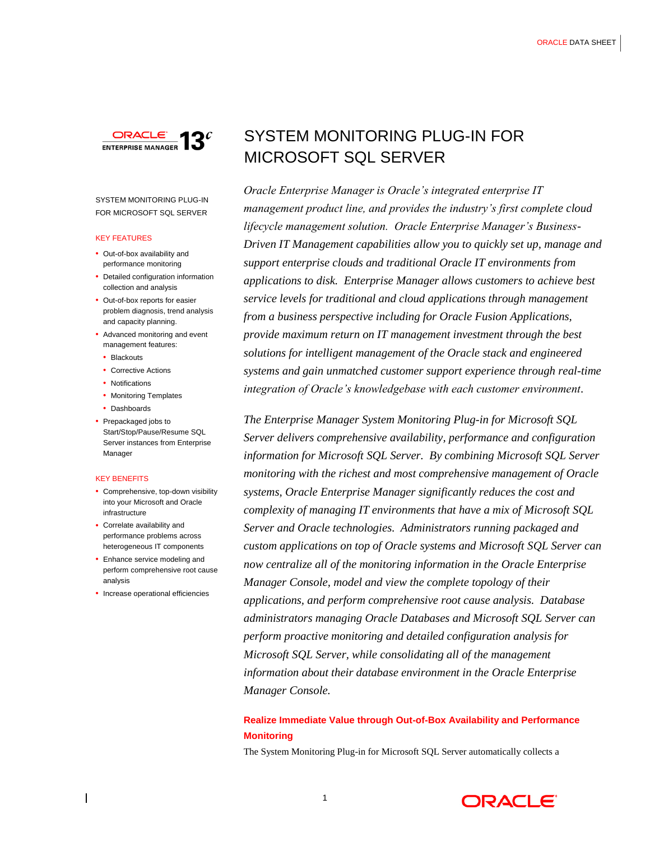

SYSTEM MONITORING PLUG-IN FOR MICROSOFT SQL SERVER

# KEY FEATURES

- Out-of-box availability and performance monitoring
- Detailed configuration information collection and analysis
- Out-of-box reports for easier problem diagnosis, trend analysis and capacity planning.
- Advanced monitoring and event management features:
- Blackouts
- Corrective Actions
- Notifications
- Monitoring Templates
- Dashboards
- Prepackaged jobs to Start/Stop/Pause/Resume SQL Server instances from Enterprise Manager

#### KEY BENEFITS

- Comprehensive, top-down visibility into your Microsoft and Oracle infrastructure
- Correlate availability and performance problems across heterogeneous IT components
- Enhance service modeling and perform comprehensive root cause analysis
- Increase operational efficiencies

# SYSTEM MONITORING PLUG-IN FOR MICROSOFT SQL SERVER

*Oracle Enterprise Manager is Oracle's integrated enterprise IT management product line, and provides the industry's first complete cloud lifecycle management solution. Oracle Enterprise Manager's Business-Driven IT Management capabilities allow you to quickly set up, manage and support enterprise clouds and traditional Oracle IT environments from applications to disk. Enterprise Manager allows customers to achieve best service levels for traditional and cloud applications through management from a business perspective including for Oracle Fusion Applications, provide maximum return on IT management investment through the best solutions for intelligent management of the Oracle stack and engineered systems and gain unmatched customer support experience through real-time integration of Oracle's knowledgebase with each customer environment.*

*The Enterprise Manager System Monitoring Plug-in for Microsoft SQL Server delivers comprehensive availability, performance and configuration information for Microsoft SQL Server. By combining Microsoft SQL Server monitoring with the richest and most comprehensive management of Oracle systems, Oracle Enterprise Manager significantly reduces the cost and complexity of managing IT environments that have a mix of Microsoft SQL Server and Oracle technologies. Administrators running packaged and custom applications on top of Oracle systems and Microsoft SQL Server can now centralize all of the monitoring information in the Oracle Enterprise Manager Console, model and view the complete topology of their applications, and perform comprehensive root cause analysis. Database administrators managing Oracle Databases and Microsoft SQL Server can perform proactive monitoring and detailed configuration analysis for Microsoft SQL Server, while consolidating all of the management information about their database environment in the Oracle Enterprise Manager Console.*

# **Realize Immediate Value through Out-of-Box Availability and Performance Monitoring**

The System Monitoring Plug-in for Microsoft SQL Server automatically collects a

1

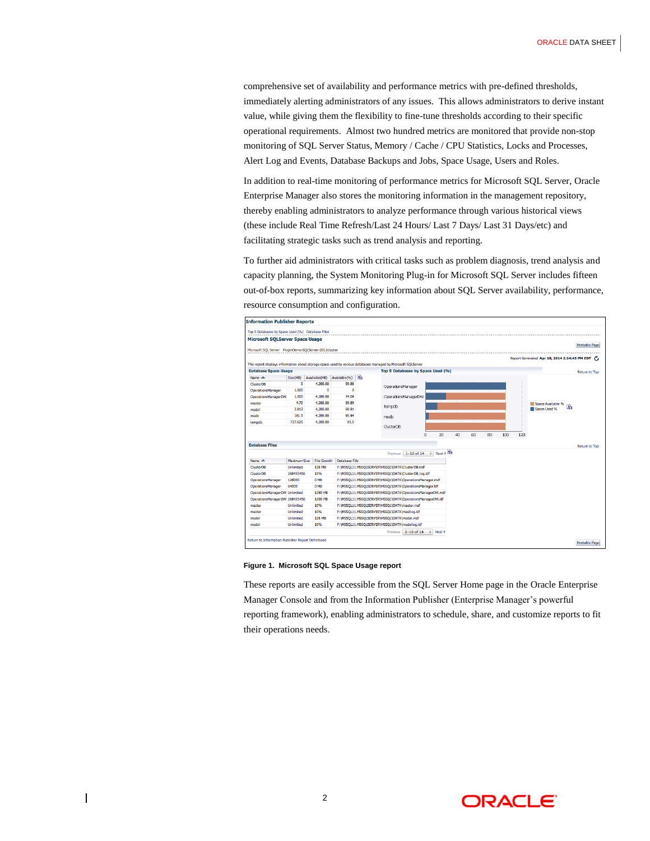comprehensive set of availability and performance metrics with pre-defined thresholds, immediately alerting administrators of any issues. This allows administrators to derive instant value, while giving them the flexibility to fine-tune thresholds according to their specific operational requirements. Almost two hundred metrics are monitored that provide non-stop monitoring of SQL Server Status, Memory / Cache / CPU Statistics, Locks and Processes, Alert Log and Events, Database Backups and Jobs, Space Usage, Users and Roles.

In addition to real-time monitoring of performance metrics for Microsoft SQL Server, Oracle Enterprise Manager also stores the monitoring information in the management repository, thereby enabling administrators to analyze performance through various historical views (these include Real Time Refresh/Last 24 Hours/ Last 7 Days/ Last 31 Days/etc) and facilitating strategic tasks such as trend analysis and reporting.

To further aid administrators with critical tasks such as problem diagnosis, trend analysis and capacity planning, the System Monitoring Plug-in for Microsoft SQL Server includes fifteen out-of-box reports, summarizing key information about SQL Server availability, performance, resource consumption and configuration.



#### **Figure 1. Microsoft SQL Space Usage report**

These reports are easily accessible from the SQL Server Home page in the Oracle Enterprise Manager Console and from the Information Publisher (Enterprise Manager's powerful reporting framework), enabling administrators to schedule, share, and customize reports to fit their operations needs.



2

 $\overline{\phantom{a}}$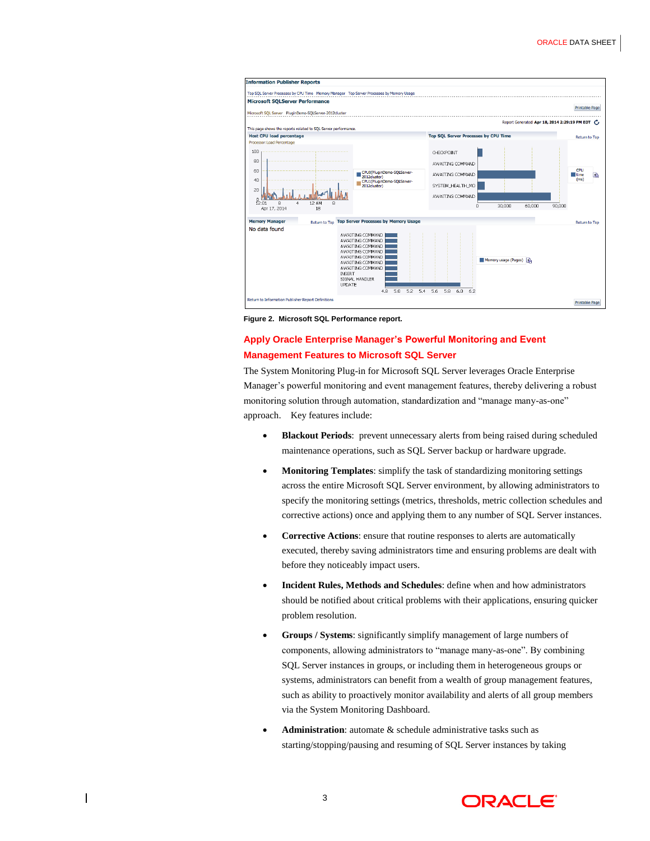

**Figure 2. Microsoft SQL Performance report.**

# **Apply Oracle Enterprise Manager's Powerful Monitoring and Event Management Features to Microsoft SQL Server**

The System Monitoring Plug-in for Microsoft SQL Server leverages Oracle Enterprise Manager's powerful monitoring and event management features, thereby delivering a robust monitoring solution through automation, standardization and "manage many-as-one" approach. Key features include:

- **Blackout Periods**: prevent unnecessary alerts from being raised during scheduled maintenance operations, such as SQL Server backup or hardware upgrade.
- **Monitoring Templates**: simplify the task of standardizing monitoring settings across the entire Microsoft SQL Server environment, by allowing administrators to specify the monitoring settings (metrics, thresholds, metric collection schedules and corrective actions) once and applying them to any number of SQL Server instances.
- **Corrective Actions**: ensure that routine responses to alerts are automatically executed, thereby saving administrators time and ensuring problems are dealt with before they noticeably impact users.
- **Incident Rules, Methods and Schedules**: define when and how administrators should be notified about critical problems with their applications, ensuring quicker problem resolution.
- **Groups / Systems**: significantly simplify management of large numbers of components, allowing administrators to "manage many-as-one". By combining SQL Server instances in groups, or including them in heterogeneous groups or systems, administrators can benefit from a wealth of group management features, such as ability to proactively monitor availability and alerts of all group members via the System Monitoring Dashboard.
- **Administration**: automate & schedule administrative tasks such as starting/stopping/pausing and resuming of SQL Server instances by taking

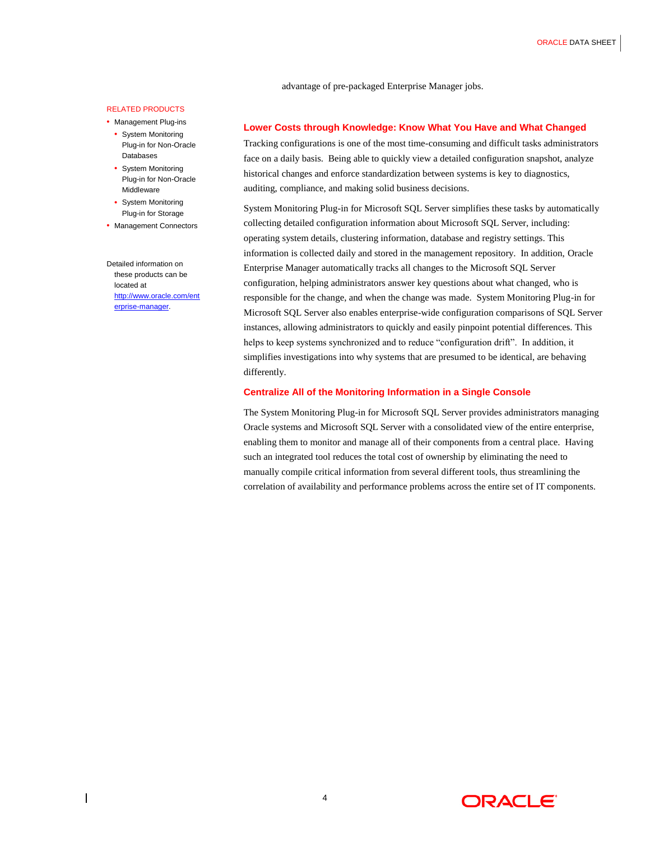advantage of pre-packaged Enterprise Manager jobs.

#### RELATED PRODUCTS

• Management Plug-ins

- System Monitoring Plug-in for Non-Oracle **Databases**
- System Monitoring Plug-in for Non-Oracle Middleware
- System Monitoring Plug-in for Storage
- Management Connectors

Detailed information on these products can be located at [http://www.oracle.com/ent](http://www.oracle.com/enterprise-manager) [erprise-manager.](http://www.oracle.com/enterprise-manager)

 $\overline{\phantom{a}}$ 

# **Lower Costs through Knowledge: Know What You Have and What Changed**

Tracking configurations is one of the most time-consuming and difficult tasks administrators face on a daily basis. Being able to quickly view a detailed configuration snapshot, analyze historical changes and enforce standardization between systems is key to diagnostics, auditing, compliance, and making solid business decisions.

System Monitoring Plug-in for Microsoft SQL Server simplifies these tasks by automatically collecting detailed configuration information about Microsoft SQL Server, including: operating system details, clustering information, database and registry settings. This information is collected daily and stored in the management repository. In addition, Oracle Enterprise Manager automatically tracks all changes to the Microsoft SQL Server configuration, helping administrators answer key questions about what changed, who is responsible for the change, and when the change was made. System Monitoring Plug-in for Microsoft SQL Server also enables enterprise-wide configuration comparisons of SQL Server instances, allowing administrators to quickly and easily pinpoint potential differences. This helps to keep systems synchronized and to reduce "configuration drift". In addition, it simplifies investigations into why systems that are presumed to be identical, are behaving differently.

# **Centralize All of the Monitoring Information in a Single Console**

The System Monitoring Plug-in for Microsoft SQL Server provides administrators managing Oracle systems and Microsoft SQL Server with a consolidated view of the entire enterprise, enabling them to monitor and manage all of their components from a central place. Having such an integrated tool reduces the total cost of ownership by eliminating the need to manually compile critical information from several different tools, thus streamlining the correlation of availability and performance problems across the entire set of IT components.

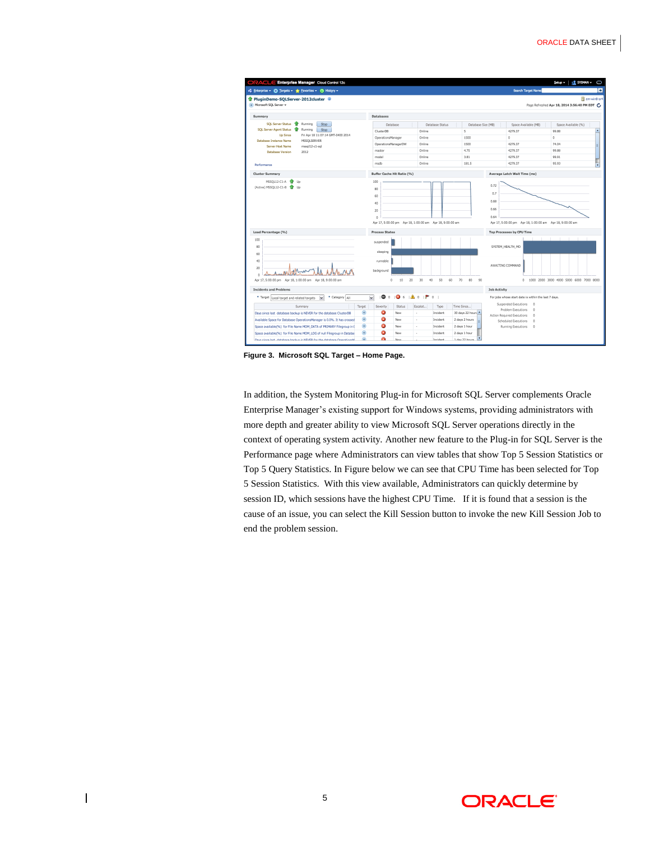

**Figure 3. Microsoft SQL Target – Home Page.**

In addition, the System Monitoring Plug-in for Microsoft SQL Server complements Oracle Enterprise Manager's existing support for Windows systems, providing administrators with more depth and greater ability to view Microsoft SQL Server operations directly in the context of operating system activity. Another new feature to the Plug-in for SQL Server is the Performance page where Administrators can view tables that show Top 5 Session Statistics or Top 5 Query Statistics. In Figure below we can see that CPU Time has been selected for Top 5 Session Statistics. With this view available, Administrators can quickly determine by session ID, which sessions have the highest CPU Time. If it is found that a session is the cause of an issue, you can select the Kill Session button to invoke the new Kill Session Job to end the problem session.



 $\overline{\phantom{a}}$